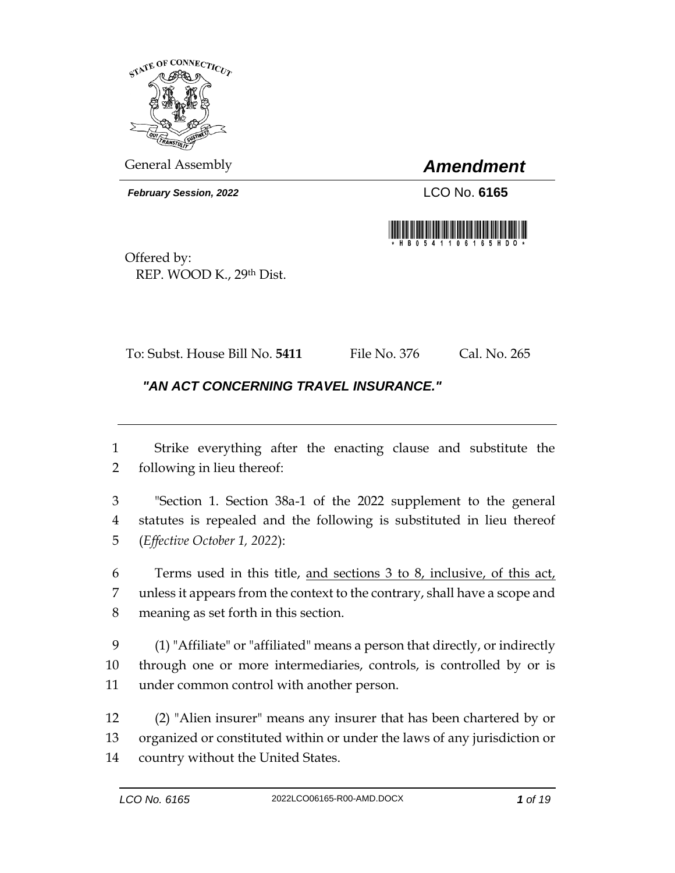

General Assembly *Amendment*

*February Session, 2022* LCO No. **6165**



Offered by: REP. WOOD K., 29th Dist.

To: Subst. House Bill No. **5411** File No. 376 Cal. No. 265

## *"AN ACT CONCERNING TRAVEL INSURANCE."*

 Strike everything after the enacting clause and substitute the following in lieu thereof:

 "Section 1. Section 38a-1 of the 2022 supplement to the general statutes is repealed and the following is substituted in lieu thereof (*Effective October 1, 2022*):

 Terms used in this title, and sections 3 to 8, inclusive, of this act, unless it appears from the context to the contrary, shall have a scope and meaning as set forth in this section.

 (1) "Affiliate" or "affiliated" means a person that directly, or indirectly through one or more intermediaries, controls, is controlled by or is under common control with another person.

 (2) "Alien insurer" means any insurer that has been chartered by or organized or constituted within or under the laws of any jurisdiction or country without the United States.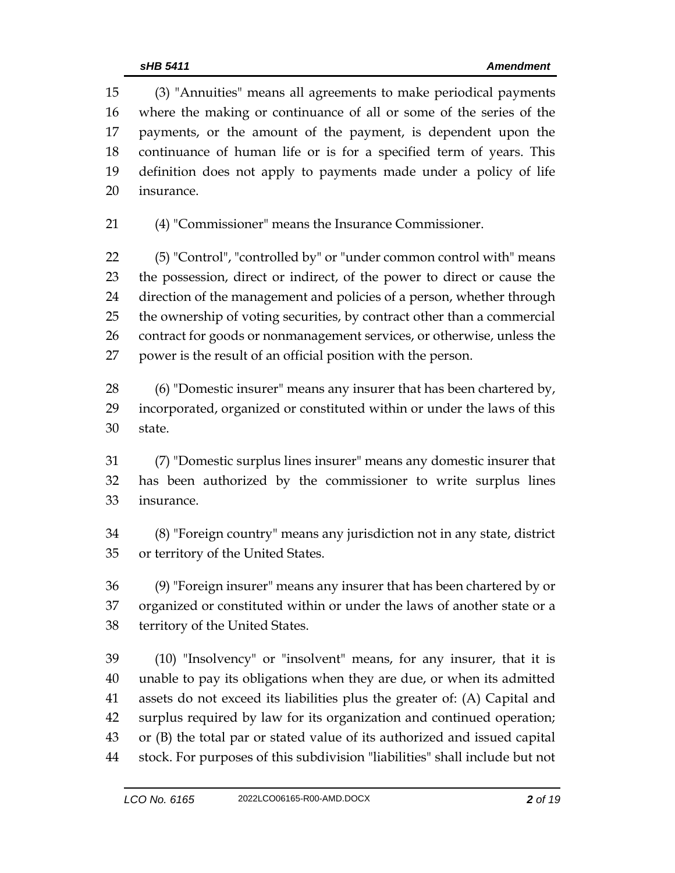(3) "Annuities" means all agreements to make periodical payments where the making or continuance of all or some of the series of the payments, or the amount of the payment, is dependent upon the continuance of human life or is for a specified term of years. This definition does not apply to payments made under a policy of life insurance.

(4) "Commissioner" means the Insurance Commissioner.

 (5) "Control", "controlled by" or "under common control with" means the possession, direct or indirect, of the power to direct or cause the direction of the management and policies of a person, whether through the ownership of voting securities, by contract other than a commercial 26 contract for goods or nonmanagement services, or otherwise, unless the power is the result of an official position with the person.

 (6) "Domestic insurer" means any insurer that has been chartered by, incorporated, organized or constituted within or under the laws of this state.

 (7) "Domestic surplus lines insurer" means any domestic insurer that has been authorized by the commissioner to write surplus lines insurance.

 (8) "Foreign country" means any jurisdiction not in any state, district or territory of the United States.

 (9) "Foreign insurer" means any insurer that has been chartered by or organized or constituted within or under the laws of another state or a territory of the United States.

 (10) "Insolvency" or "insolvent" means, for any insurer, that it is unable to pay its obligations when they are due, or when its admitted assets do not exceed its liabilities plus the greater of: (A) Capital and surplus required by law for its organization and continued operation; or (B) the total par or stated value of its authorized and issued capital stock. For purposes of this subdivision "liabilities" shall include but not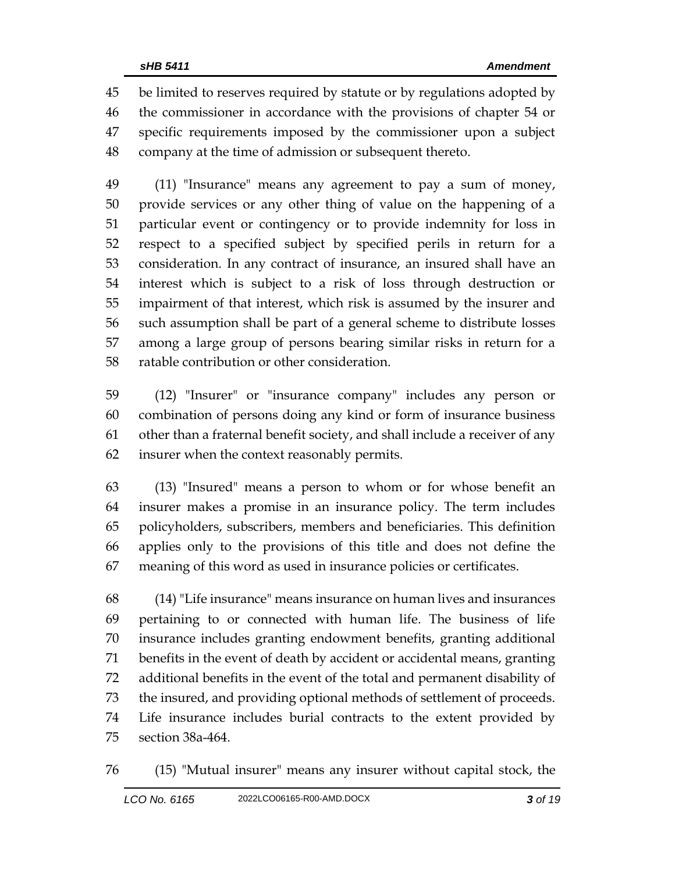be limited to reserves required by statute or by regulations adopted by the commissioner in accordance with the provisions of chapter 54 or specific requirements imposed by the commissioner upon a subject company at the time of admission or subsequent thereto.

 (11) "Insurance" means any agreement to pay a sum of money, provide services or any other thing of value on the happening of a particular event or contingency or to provide indemnity for loss in respect to a specified subject by specified perils in return for a consideration. In any contract of insurance, an insured shall have an interest which is subject to a risk of loss through destruction or impairment of that interest, which risk is assumed by the insurer and such assumption shall be part of a general scheme to distribute losses among a large group of persons bearing similar risks in return for a ratable contribution or other consideration.

 (12) "Insurer" or "insurance company" includes any person or combination of persons doing any kind or form of insurance business other than a fraternal benefit society, and shall include a receiver of any insurer when the context reasonably permits.

 (13) "Insured" means a person to whom or for whose benefit an insurer makes a promise in an insurance policy. The term includes policyholders, subscribers, members and beneficiaries. This definition applies only to the provisions of this title and does not define the meaning of this word as used in insurance policies or certificates.

 (14) "Life insurance" means insurance on human lives and insurances pertaining to or connected with human life. The business of life insurance includes granting endowment benefits, granting additional benefits in the event of death by accident or accidental means, granting additional benefits in the event of the total and permanent disability of the insured, and providing optional methods of settlement of proceeds. Life insurance includes burial contracts to the extent provided by section 38a-464.

(15) "Mutual insurer" means any insurer without capital stock, the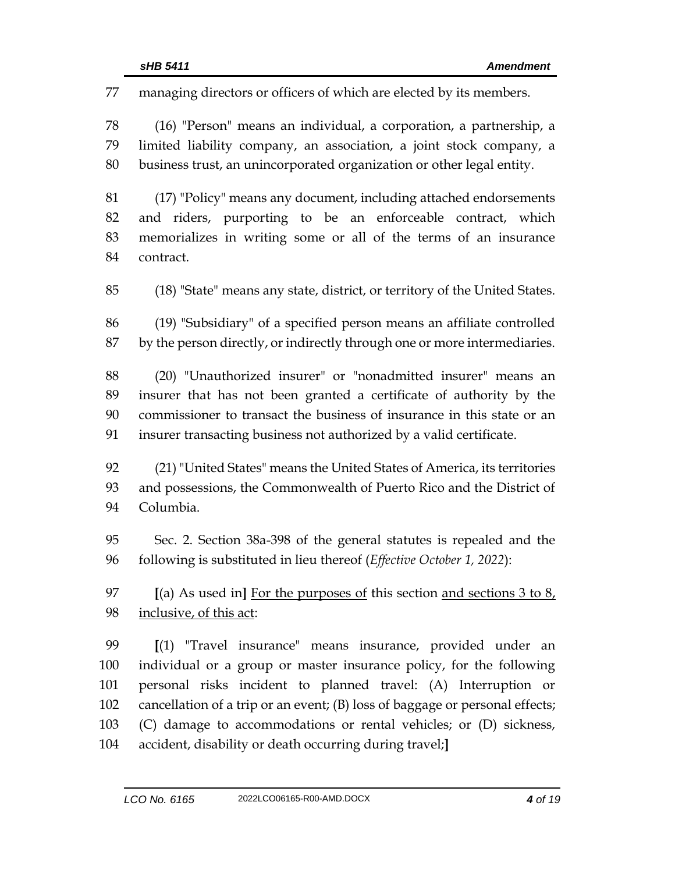managing directors or officers of which are elected by its members.

 (16) "Person" means an individual, a corporation, a partnership, a limited liability company, an association, a joint stock company, a business trust, an unincorporated organization or other legal entity.

 (17) "Policy" means any document, including attached endorsements and riders, purporting to be an enforceable contract, which memorializes in writing some or all of the terms of an insurance contract.

(18) "State" means any state, district, or territory of the United States.

 (19) "Subsidiary" of a specified person means an affiliate controlled by the person directly, or indirectly through one or more intermediaries.

 (20) "Unauthorized insurer" or "nonadmitted insurer" means an insurer that has not been granted a certificate of authority by the commissioner to transact the business of insurance in this state or an insurer transacting business not authorized by a valid certificate.

 (21) "United States" means the United States of America, its territories and possessions, the Commonwealth of Puerto Rico and the District of Columbia.

 Sec. 2. Section 38a-398 of the general statutes is repealed and the following is substituted in lieu thereof (*Effective October 1, 2022*):

 **[**(a) As used in**]** For the purposes of this section and sections 3 to 8, inclusive, of this act:

 **[**(1) "Travel insurance" means insurance, provided under an individual or a group or master insurance policy, for the following personal risks incident to planned travel: (A) Interruption or cancellation of a trip or an event; (B) loss of baggage or personal effects; (C) damage to accommodations or rental vehicles; or (D) sickness, accident, disability or death occurring during travel;**]**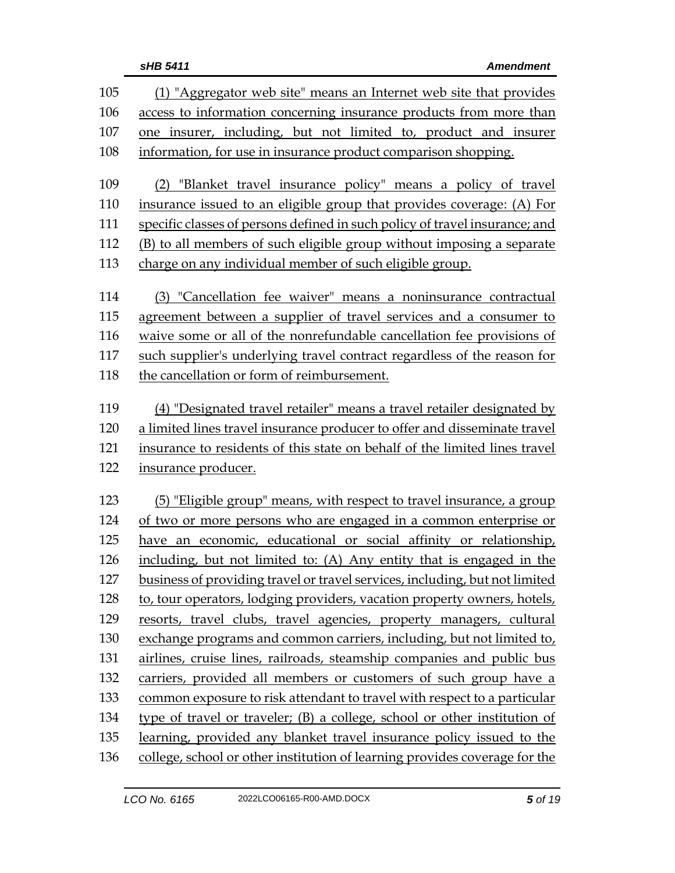| 105 | (1) "Aggregator web site" means an Internet web site that provides          |
|-----|-----------------------------------------------------------------------------|
| 106 | access to information concerning insurance products from more than          |
| 107 | one insurer, including, but not limited to, product and insurer             |
| 108 | information, for use in insurance product comparison shopping.              |
|     |                                                                             |
| 109 | (2) "Blanket travel insurance policy" means a policy of travel              |
| 110 | insurance issued to an eligible group that provides coverage: (A) For       |
| 111 | specific classes of persons defined in such policy of travel insurance; and |
| 112 | (B) to all members of such eligible group without imposing a separate       |
| 113 | charge on any individual member of such eligible group.                     |
| 114 | (3) "Cancellation fee waiver" means a noninsurance contractual              |
| 115 | agreement between a supplier of travel services and a consumer to           |
| 116 | waive some or all of the nonrefundable cancellation fee provisions of       |
| 117 | such supplier's underlying travel contract regardless of the reason for     |
| 118 | the cancellation or form of reimbursement.                                  |
| 119 | (4) "Designated travel retailer" means a travel retailer designated by      |
| 120 | a limited lines travel insurance producer to offer and disseminate travel   |
| 121 | insurance to residents of this state on behalf of the limited lines travel  |
| 122 | insurance producer.                                                         |
|     |                                                                             |
| 123 | (5) "Eligible group" means, with respect to travel insurance, a group       |
| 124 | of two or more persons who are engaged in a common enterprise or            |
| 125 | have an economic, educational or social affinity or relationship,           |
| 126 | including, but not limited to: (A) Any entity that is engaged in the        |
| 127 | business of providing travel or travel services, including, but not limited |
| 128 | to, tour operators, lodging providers, vacation property owners, hotels,    |
| 129 | resorts, travel clubs, travel agencies, property managers, cultural         |
| 130 | exchange programs and common carriers, including, but not limited to,       |
| 131 | airlines, cruise lines, railroads, steamship companies and public bus       |
| 132 | carriers, provided all members or customers of such group have a            |
| 133 | common exposure to risk attendant to travel with respect to a particular    |
| 134 | type of travel or traveler; (B) a college, school or other institution of   |
| 135 | learning, provided any blanket travel insurance policy issued to the        |
| 136 | college, school or other institution of learning provides coverage for the  |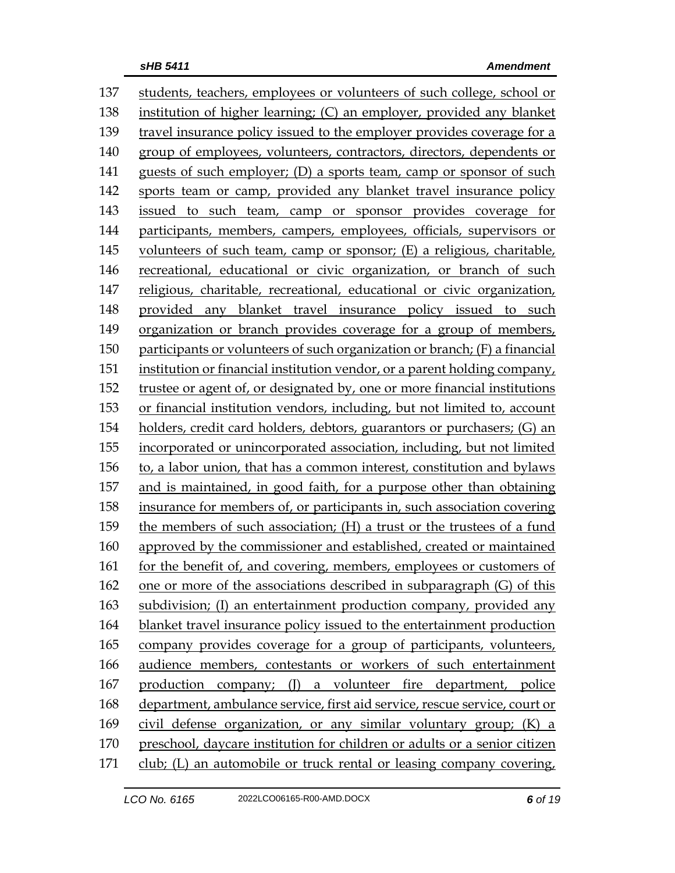students, teachers, employees or volunteers of such college, school or institution of higher learning; (C) an employer, provided any blanket travel insurance policy issued to the employer provides coverage for a group of employees, volunteers, contractors, directors, dependents or guests of such employer; (D) a sports team, camp or sponsor of such sports team or camp, provided any blanket travel insurance policy issued to such team, camp or sponsor provides coverage for participants, members, campers, employees, officials, supervisors or volunteers of such team, camp or sponsor; (E) a religious, charitable, recreational, educational or civic organization, or branch of such religious, charitable, recreational, educational or civic organization, provided any blanket travel insurance policy issued to such organization or branch provides coverage for a group of members, participants or volunteers of such organization or branch; (F) a financial institution or financial institution vendor, or a parent holding company, trustee or agent of, or designated by, one or more financial institutions or financial institution vendors, including, but not limited to, account holders, credit card holders, debtors, guarantors or purchasers; (G) an incorporated or unincorporated association, including, but not limited to, a labor union, that has a common interest, constitution and bylaws and is maintained, in good faith, for a purpose other than obtaining insurance for members of, or participants in, such association covering the members of such association; (H) a trust or the trustees of a fund approved by the commissioner and established, created or maintained for the benefit of, and covering, members, employees or customers of one or more of the associations described in subparagraph (G) of this subdivision; (I) an entertainment production company, provided any blanket travel insurance policy issued to the entertainment production company provides coverage for a group of participants, volunteers, audience members, contestants or workers of such entertainment production company; (J) a volunteer fire department, police department, ambulance service, first aid service, rescue service, court or civil defense organization, or any similar voluntary group; (K) a preschool, daycare institution for children or adults or a senior citizen club; (L) an automobile or truck rental or leasing company covering,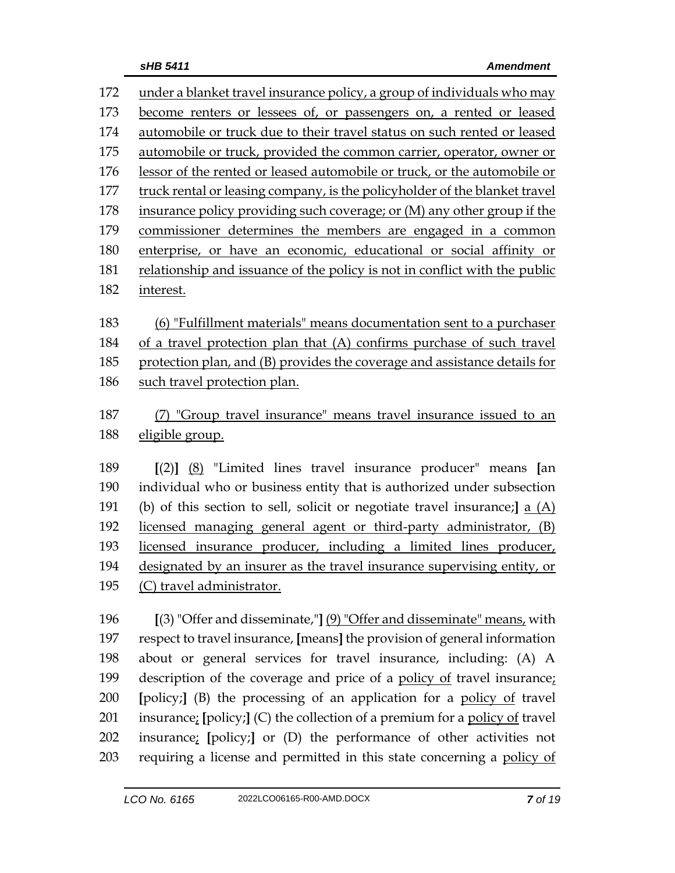under a blanket travel insurance policy, a group of individuals who may become renters or lessees of, or passengers on, a rented or leased automobile or truck due to their travel status on such rented or leased automobile or truck, provided the common carrier, operator, owner or lessor of the rented or leased automobile or truck, or the automobile or truck rental or leasing company, is the policyholder of the blanket travel insurance policy providing such coverage; or (M) any other group if the commissioner determines the members are engaged in a common enterprise, or have an economic, educational or social affinity or relationship and issuance of the policy is not in conflict with the public interest. (6) "Fulfillment materials" means documentation sent to a purchaser of a travel protection plan that (A) confirms purchase of such travel protection plan, and (B) provides the coverage and assistance details for such travel protection plan. (7) "Group travel insurance" means travel insurance issued to an eligible group. **[**(2)**]** (8) "Limited lines travel insurance producer" means **[**an individual who or business entity that is authorized under subsection (b) of this section to sell, solicit or negotiate travel insurance;**]** a (A) licensed managing general agent or third-party administrator, (B) licensed insurance producer, including a limited lines producer, designated by an insurer as the travel insurance supervising entity, or (C) travel administrator. **[**(3) "Offer and disseminate,"**]** (9) "Offer and disseminate" means, with respect to travel insurance, **[**means**]** the provision of general information about or general services for travel insurance, including: (A) A 199 description of the coverage and price of a policy of travel insurance; **[**policy;**]** (B) the processing of an application for a policy of travel

 insurance; **[**policy;**]** or (D) the performance of other activities not requiring a license and permitted in this state concerning a policy of

insurance; **[**policy;**]** (C) the collection of a premium for a policy of travel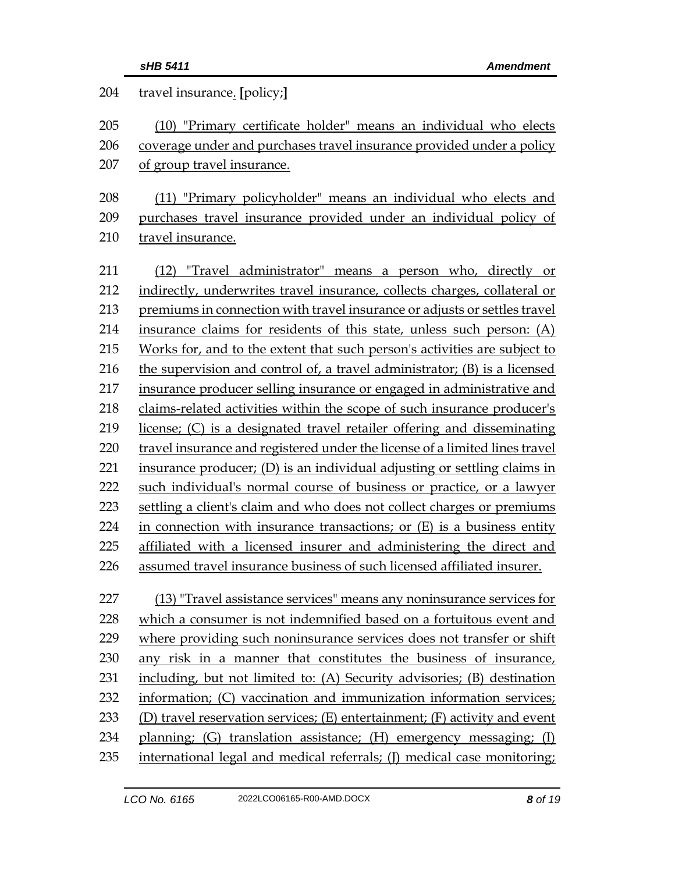| 204 | travel insurance. [policy;]                                                 |
|-----|-----------------------------------------------------------------------------|
| 205 | (10) "Primary certificate holder" means an individual who elects            |
| 206 | coverage under and purchases travel insurance provided under a policy       |
| 207 | of group travel insurance.                                                  |
| 208 | (11) "Primary policyholder" means an individual who elects and              |
| 209 | purchases travel insurance provided under an individual policy of           |
| 210 | travel insurance.                                                           |
| 211 | (12) "Travel administrator" means a person who, directly or                 |
| 212 | indirectly, underwrites travel insurance, collects charges, collateral or   |
| 213 | premiums in connection with travel insurance or adjusts or settles travel   |
| 214 | insurance claims for residents of this state, unless such person: (A)       |
| 215 | Works for, and to the extent that such person's activities are subject to   |
| 216 | the supervision and control of, a travel administrator; (B) is a licensed   |
| 217 | insurance producer selling insurance or engaged in administrative and       |
| 218 | claims-related activities within the scope of such insurance producer's     |
| 219 | license; (C) is a designated travel retailer offering and disseminating     |
| 220 | travel insurance and registered under the license of a limited lines travel |
| 221 | insurance producer; (D) is an individual adjusting or settling claims in    |
| 222 | such individual's normal course of business or practice, or a lawyer        |
| 223 | settling a client's claim and who does not collect charges or premiums      |
| 224 | in connection with insurance transactions; or $(E)$ is a business entity    |
| 225 | affiliated with a licensed insurer and administering the direct and         |
| 226 | assumed travel insurance business of such licensed affiliated insurer.      |
| 227 | (13) "Travel assistance services" means any noninsurance services for       |
| 228 | which a consumer is not indemnified based on a fortuitous event and         |
| 229 | where providing such noninsurance services does not transfer or shift       |
| 230 | any risk in a manner that constitutes the business of insurance,            |
| 231 | including, but not limited to: (A) Security advisories; (B) destination     |
| 232 | information; (C) vaccination and immunization information services;         |
| 233 | (D) travel reservation services; (E) entertainment; (F) activity and event  |
| 234 | planning; (G) translation assistance; (H) emergency messaging; (I)          |
| 235 | international legal and medical referrals; (J) medical case monitoring;     |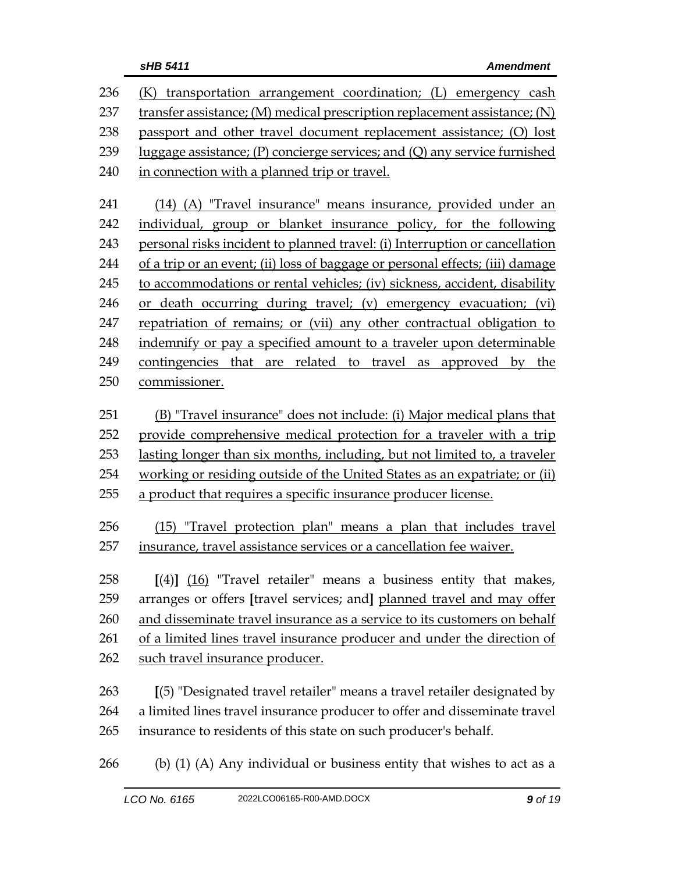| 236 | (K) transportation arrangement coordination; (L) emergency cash               |
|-----|-------------------------------------------------------------------------------|
| 237 | transfer assistance; (M) medical prescription replacement assistance; (N)     |
| 238 | passport and other travel document replacement assistance; (O) lost           |
| 239 | luggage assistance; (P) concierge services; and (Q) any service furnished     |
| 240 | in connection with a planned trip or travel.                                  |
|     |                                                                               |
| 241 | (14) (A) "Travel insurance" means insurance, provided under an                |
| 242 | individual, group or blanket insurance policy, for the following              |
| 243 | personal risks incident to planned travel: (i) Interruption or cancellation   |
| 244 | of a trip or an event; (ii) loss of baggage or personal effects; (iii) damage |
| 245 | to accommodations or rental vehicles; (iv) sickness, accident, disability     |
| 246 | or death occurring during travel; (v) emergency evacuation; (vi)              |
| 247 | repatriation of remains; or (vii) any other contractual obligation to         |
| 248 | indemnify or pay a specified amount to a traveler upon determinable           |
| 249 | contingencies that are related to travel as approved by the                   |
| 250 | commissioner.                                                                 |
|     |                                                                               |
| 251 | (B) "Travel insurance" does not include: (i) Major medical plans that         |
| 252 | provide comprehensive medical protection for a traveler with a trip           |
| 253 | lasting longer than six months, including, but not limited to, a traveler     |
| 254 | working or residing outside of the United States as an expatriate; or (ii)    |
| 255 | a product that requires a specific insurance producer license.                |
| 256 | (15) "Travel protection plan" means a plan that includes travel               |
| 257 | insurance, travel assistance services or a cancellation fee waiver.           |
|     |                                                                               |
| 258 | $[(4)]$ $(16)$ "Travel retailer" means a business entity that makes,          |
| 259 | arranges or offers [travel services; and] planned travel and may offer        |
| 260 | and disseminate travel insurance as a service to its customers on behalf      |
| 261 | of a limited lines travel insurance producer and under the direction of       |
| 262 | such travel insurance producer.                                               |
|     |                                                                               |
| 263 | [(5) "Designated travel retailer" means a travel retailer designated by       |
| 264 | a limited lines travel insurance producer to offer and disseminate travel     |
| 265 | insurance to residents of this state on such producer's behalf.               |
| 266 | (b) (1) (A) Any individual or business entity that wishes to act as a         |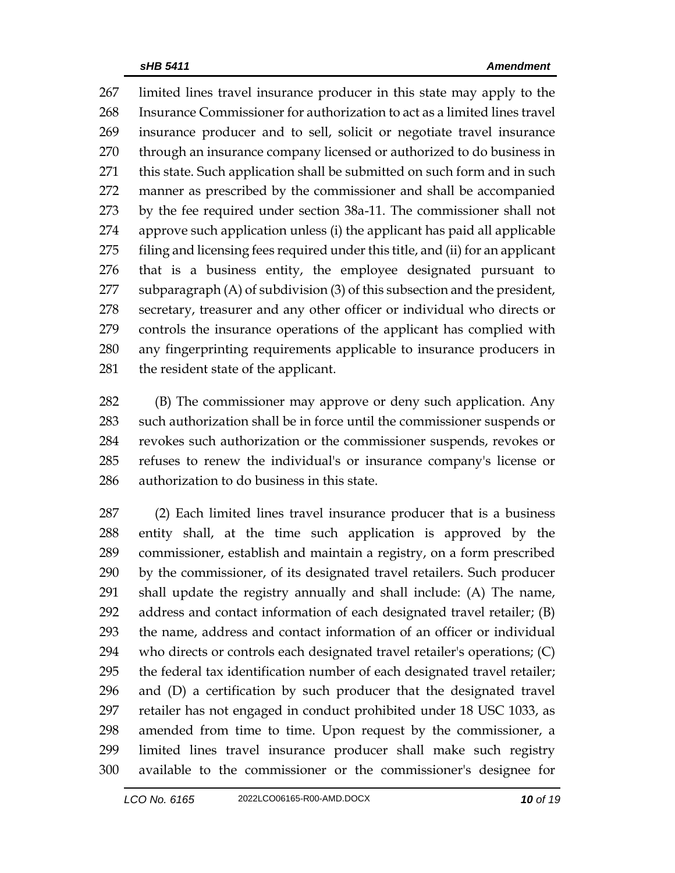limited lines travel insurance producer in this state may apply to the Insurance Commissioner for authorization to act as a limited lines travel insurance producer and to sell, solicit or negotiate travel insurance 270 through an insurance company licensed or authorized to do business in 271 this state. Such application shall be submitted on such form and in such manner as prescribed by the commissioner and shall be accompanied by the fee required under section 38a-11. The commissioner shall not approve such application unless (i) the applicant has paid all applicable filing and licensing fees required under this title, and (ii) for an applicant that is a business entity, the employee designated pursuant to subparagraph (A) of subdivision (3) of this subsection and the president, secretary, treasurer and any other officer or individual who directs or controls the insurance operations of the applicant has complied with any fingerprinting requirements applicable to insurance producers in the resident state of the applicant.

 (B) The commissioner may approve or deny such application. Any such authorization shall be in force until the commissioner suspends or revokes such authorization or the commissioner suspends, revokes or refuses to renew the individual's or insurance company's license or authorization to do business in this state.

 (2) Each limited lines travel insurance producer that is a business entity shall, at the time such application is approved by the commissioner, establish and maintain a registry, on a form prescribed by the commissioner, of its designated travel retailers. Such producer shall update the registry annually and shall include: (A) The name, address and contact information of each designated travel retailer; (B) the name, address and contact information of an officer or individual who directs or controls each designated travel retailer's operations; (C) the federal tax identification number of each designated travel retailer; and (D) a certification by such producer that the designated travel retailer has not engaged in conduct prohibited under 18 USC 1033, as amended from time to time. Upon request by the commissioner, a limited lines travel insurance producer shall make such registry available to the commissioner or the commissioner's designee for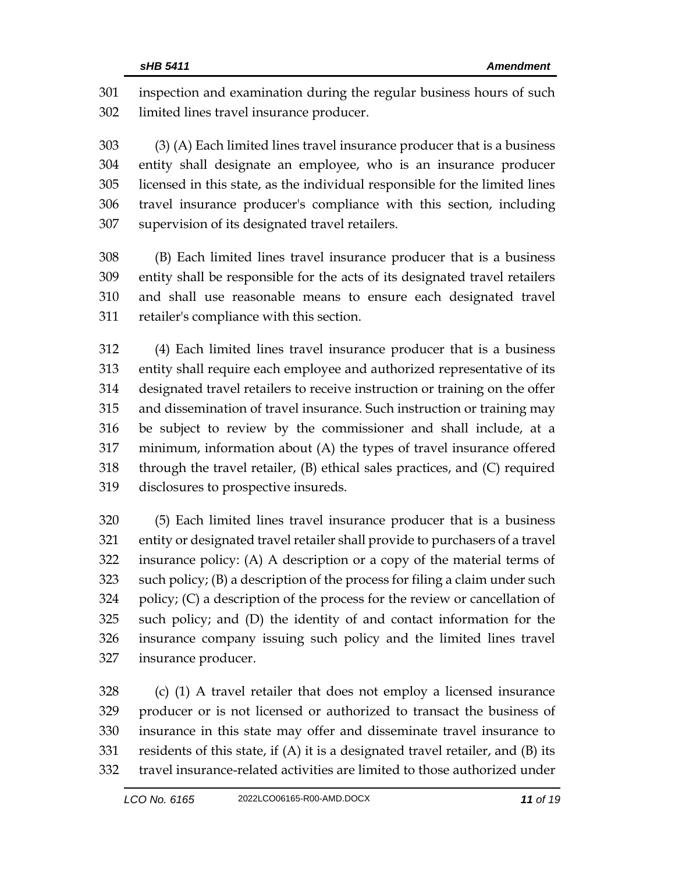inspection and examination during the regular business hours of such limited lines travel insurance producer.

 (3) (A) Each limited lines travel insurance producer that is a business entity shall designate an employee, who is an insurance producer licensed in this state, as the individual responsible for the limited lines travel insurance producer's compliance with this section, including supervision of its designated travel retailers.

 (B) Each limited lines travel insurance producer that is a business entity shall be responsible for the acts of its designated travel retailers and shall use reasonable means to ensure each designated travel retailer's compliance with this section.

 (4) Each limited lines travel insurance producer that is a business entity shall require each employee and authorized representative of its designated travel retailers to receive instruction or training on the offer and dissemination of travel insurance. Such instruction or training may be subject to review by the commissioner and shall include, at a minimum, information about (A) the types of travel insurance offered through the travel retailer, (B) ethical sales practices, and (C) required disclosures to prospective insureds.

 (5) Each limited lines travel insurance producer that is a business entity or designated travel retailer shall provide to purchasers of a travel insurance policy: (A) A description or a copy of the material terms of such policy; (B) a description of the process for filing a claim under such policy; (C) a description of the process for the review or cancellation of such policy; and (D) the identity of and contact information for the insurance company issuing such policy and the limited lines travel insurance producer.

 (c) (1) A travel retailer that does not employ a licensed insurance producer or is not licensed or authorized to transact the business of insurance in this state may offer and disseminate travel insurance to residents of this state, if (A) it is a designated travel retailer, and (B) its travel insurance-related activities are limited to those authorized under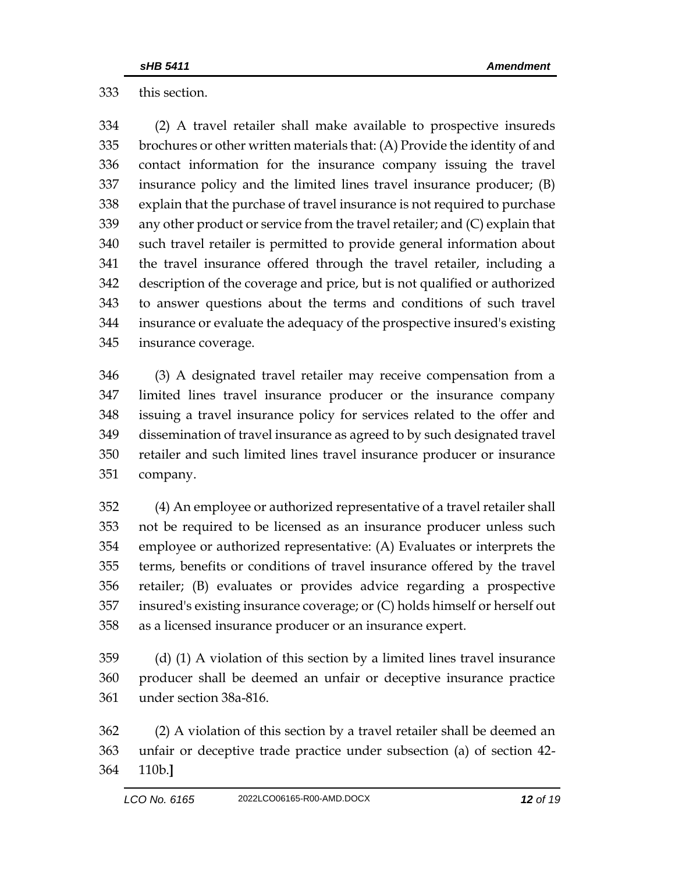this section.

 (2) A travel retailer shall make available to prospective insureds brochures or other written materials that: (A) Provide the identity of and contact information for the insurance company issuing the travel insurance policy and the limited lines travel insurance producer; (B) explain that the purchase of travel insurance is not required to purchase any other product or service from the travel retailer; and (C) explain that such travel retailer is permitted to provide general information about the travel insurance offered through the travel retailer, including a description of the coverage and price, but is not qualified or authorized to answer questions about the terms and conditions of such travel insurance or evaluate the adequacy of the prospective insured's existing insurance coverage.

 (3) A designated travel retailer may receive compensation from a limited lines travel insurance producer or the insurance company issuing a travel insurance policy for services related to the offer and dissemination of travel insurance as agreed to by such designated travel retailer and such limited lines travel insurance producer or insurance company.

 (4) An employee or authorized representative of a travel retailer shall not be required to be licensed as an insurance producer unless such employee or authorized representative: (A) Evaluates or interprets the terms, benefits or conditions of travel insurance offered by the travel retailer; (B) evaluates or provides advice regarding a prospective insured's existing insurance coverage; or (C) holds himself or herself out as a licensed insurance producer or an insurance expert.

 (d) (1) A violation of this section by a limited lines travel insurance producer shall be deemed an unfair or deceptive insurance practice under section 38a-816.

 (2) A violation of this section by a travel retailer shall be deemed an unfair or deceptive trade practice under subsection (a) of section 42- 110b.**]**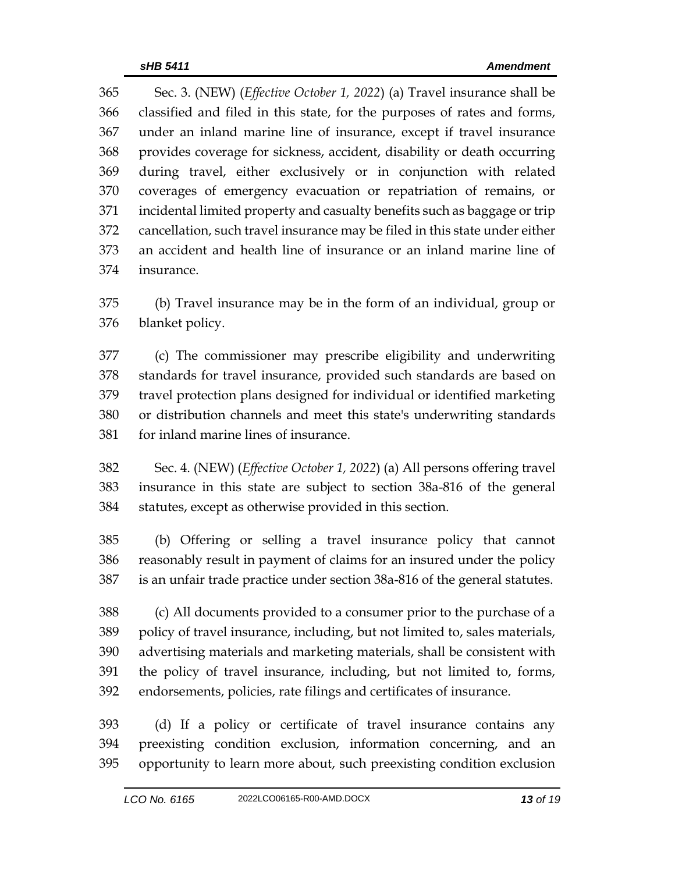Sec. 3. (NEW) (*Effective October 1, 2022*) (a) Travel insurance shall be classified and filed in this state, for the purposes of rates and forms, under an inland marine line of insurance, except if travel insurance provides coverage for sickness, accident, disability or death occurring during travel, either exclusively or in conjunction with related coverages of emergency evacuation or repatriation of remains, or incidental limited property and casualty benefits such as baggage or trip cancellation, such travel insurance may be filed in this state under either an accident and health line of insurance or an inland marine line of insurance.

 (b) Travel insurance may be in the form of an individual, group or blanket policy.

 (c) The commissioner may prescribe eligibility and underwriting standards for travel insurance, provided such standards are based on travel protection plans designed for individual or identified marketing or distribution channels and meet this state's underwriting standards for inland marine lines of insurance.

 Sec. 4. (NEW) (*Effective October 1, 2022*) (a) All persons offering travel insurance in this state are subject to section 38a-816 of the general statutes, except as otherwise provided in this section.

 (b) Offering or selling a travel insurance policy that cannot reasonably result in payment of claims for an insured under the policy is an unfair trade practice under section 38a-816 of the general statutes.

 (c) All documents provided to a consumer prior to the purchase of a policy of travel insurance, including, but not limited to, sales materials, advertising materials and marketing materials, shall be consistent with the policy of travel insurance, including, but not limited to, forms, endorsements, policies, rate filings and certificates of insurance.

 (d) If a policy or certificate of travel insurance contains any preexisting condition exclusion, information concerning, and an opportunity to learn more about, such preexisting condition exclusion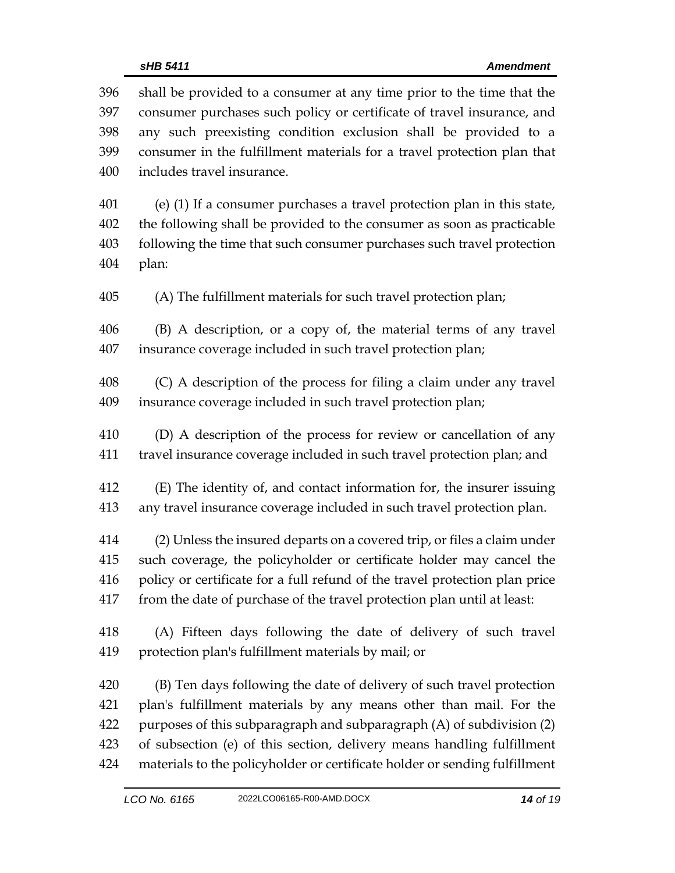shall be provided to a consumer at any time prior to the time that the consumer purchases such policy or certificate of travel insurance, and any such preexisting condition exclusion shall be provided to a consumer in the fulfillment materials for a travel protection plan that includes travel insurance. (e) (1) If a consumer purchases a travel protection plan in this state, the following shall be provided to the consumer as soon as practicable following the time that such consumer purchases such travel protection plan: (A) The fulfillment materials for such travel protection plan; (B) A description, or a copy of, the material terms of any travel insurance coverage included in such travel protection plan; (C) A description of the process for filing a claim under any travel insurance coverage included in such travel protection plan; (D) A description of the process for review or cancellation of any travel insurance coverage included in such travel protection plan; and (E) The identity of, and contact information for, the insurer issuing any travel insurance coverage included in such travel protection plan. (2) Unless the insured departs on a covered trip, or files a claim under such coverage, the policyholder or certificate holder may cancel the policy or certificate for a full refund of the travel protection plan price from the date of purchase of the travel protection plan until at least: (A) Fifteen days following the date of delivery of such travel protection plan's fulfillment materials by mail; or (B) Ten days following the date of delivery of such travel protection plan's fulfillment materials by any means other than mail. For the purposes of this subparagraph and subparagraph (A) of subdivision (2) of subsection (e) of this section, delivery means handling fulfillment materials to the policyholder or certificate holder or sending fulfillment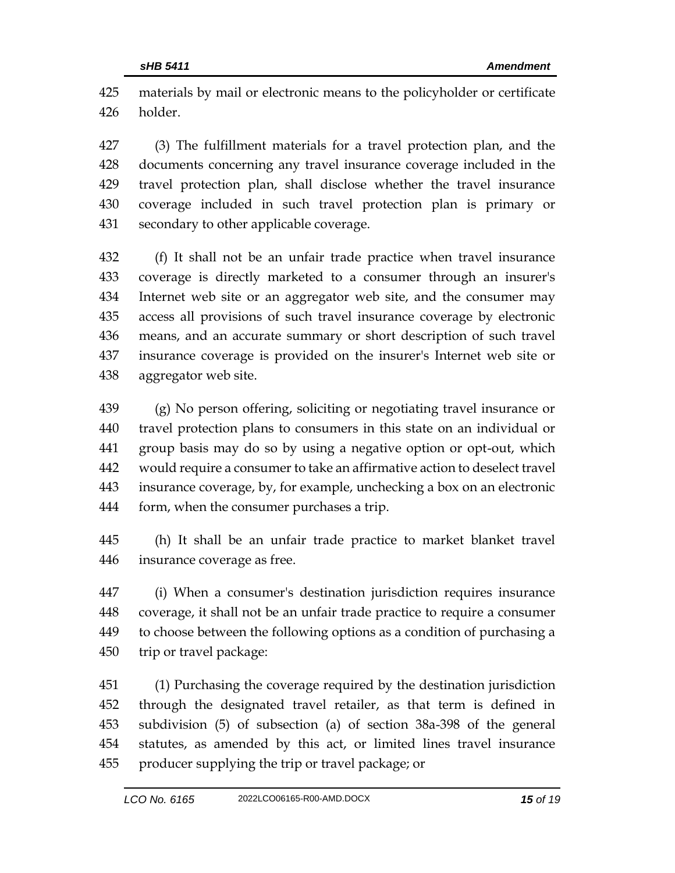materials by mail or electronic means to the policyholder or certificate holder.

 (3) The fulfillment materials for a travel protection plan, and the documents concerning any travel insurance coverage included in the travel protection plan, shall disclose whether the travel insurance coverage included in such travel protection plan is primary or secondary to other applicable coverage.

 (f) It shall not be an unfair trade practice when travel insurance coverage is directly marketed to a consumer through an insurer's Internet web site or an aggregator web site, and the consumer may access all provisions of such travel insurance coverage by electronic means, and an accurate summary or short description of such travel insurance coverage is provided on the insurer's Internet web site or aggregator web site.

 (g) No person offering, soliciting or negotiating travel insurance or travel protection plans to consumers in this state on an individual or group basis may do so by using a negative option or opt-out, which would require a consumer to take an affirmative action to deselect travel insurance coverage, by, for example, unchecking a box on an electronic form, when the consumer purchases a trip.

 (h) It shall be an unfair trade practice to market blanket travel insurance coverage as free.

 (i) When a consumer's destination jurisdiction requires insurance coverage, it shall not be an unfair trade practice to require a consumer to choose between the following options as a condition of purchasing a trip or travel package:

 (1) Purchasing the coverage required by the destination jurisdiction through the designated travel retailer, as that term is defined in subdivision (5) of subsection (a) of section 38a-398 of the general statutes, as amended by this act, or limited lines travel insurance producer supplying the trip or travel package; or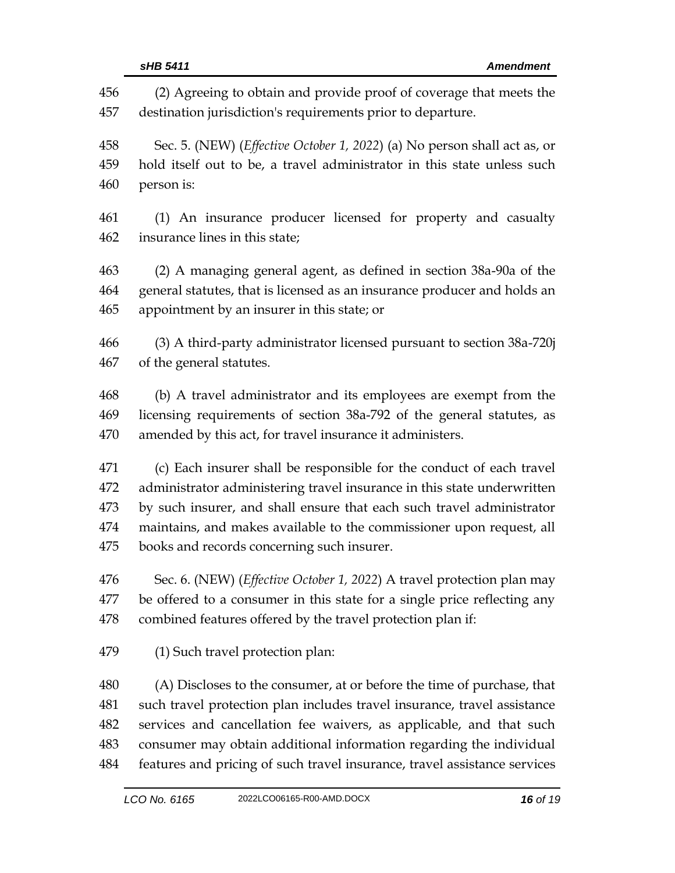(2) Agreeing to obtain and provide proof of coverage that meets the destination jurisdiction's requirements prior to departure. Sec. 5. (NEW) (*Effective October 1, 2022*) (a) No person shall act as, or hold itself out to be, a travel administrator in this state unless such person is: (1) An insurance producer licensed for property and casualty insurance lines in this state; (2) A managing general agent, as defined in section 38a-90a of the general statutes, that is licensed as an insurance producer and holds an appointment by an insurer in this state; or (3) A third-party administrator licensed pursuant to section 38a-720j of the general statutes. (b) A travel administrator and its employees are exempt from the licensing requirements of section 38a-792 of the general statutes, as amended by this act, for travel insurance it administers. (c) Each insurer shall be responsible for the conduct of each travel administrator administering travel insurance in this state underwritten by such insurer, and shall ensure that each such travel administrator maintains, and makes available to the commissioner upon request, all books and records concerning such insurer. Sec. 6. (NEW) (*Effective October 1, 2022*) A travel protection plan may be offered to a consumer in this state for a single price reflecting any combined features offered by the travel protection plan if: (1) Such travel protection plan: (A) Discloses to the consumer, at or before the time of purchase, that such travel protection plan includes travel insurance, travel assistance services and cancellation fee waivers, as applicable, and that such consumer may obtain additional information regarding the individual features and pricing of such travel insurance, travel assistance services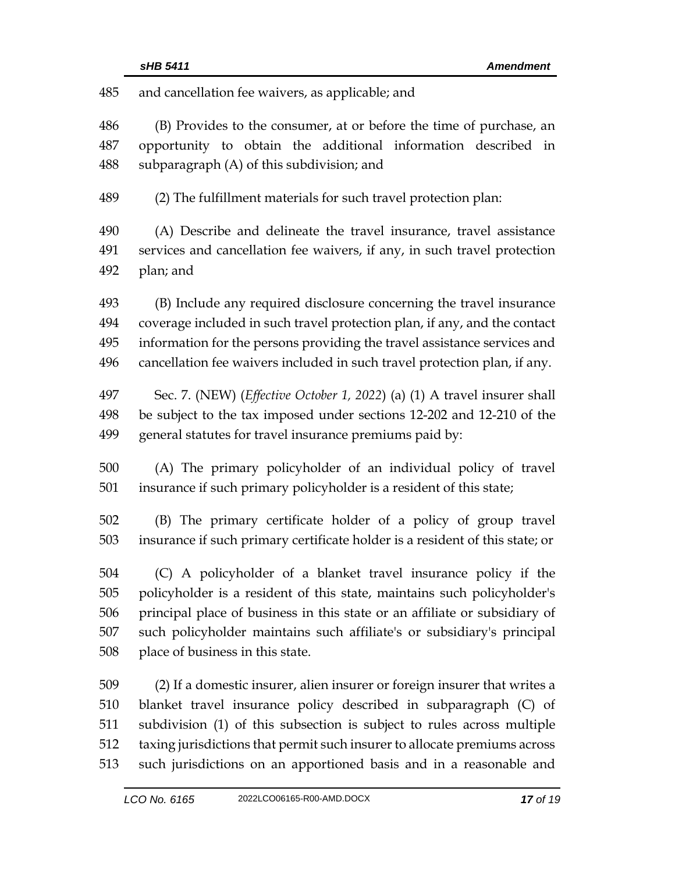and cancellation fee waivers, as applicable; and

 (B) Provides to the consumer, at or before the time of purchase, an opportunity to obtain the additional information described in subparagraph (A) of this subdivision; and

(2) The fulfillment materials for such travel protection plan:

 (A) Describe and delineate the travel insurance, travel assistance services and cancellation fee waivers, if any, in such travel protection plan; and

 (B) Include any required disclosure concerning the travel insurance coverage included in such travel protection plan, if any, and the contact information for the persons providing the travel assistance services and cancellation fee waivers included in such travel protection plan, if any.

 Sec. 7. (NEW) (*Effective October 1, 2022*) (a) (1) A travel insurer shall be subject to the tax imposed under sections 12-202 and 12-210 of the general statutes for travel insurance premiums paid by:

 (A) The primary policyholder of an individual policy of travel insurance if such primary policyholder is a resident of this state;

 (B) The primary certificate holder of a policy of group travel insurance if such primary certificate holder is a resident of this state; or

 (C) A policyholder of a blanket travel insurance policy if the policyholder is a resident of this state, maintains such policyholder's principal place of business in this state or an affiliate or subsidiary of such policyholder maintains such affiliate's or subsidiary's principal place of business in this state.

 (2) If a domestic insurer, alien insurer or foreign insurer that writes a blanket travel insurance policy described in subparagraph (C) of subdivision (1) of this subsection is subject to rules across multiple taxing jurisdictions that permit such insurer to allocate premiums across such jurisdictions on an apportioned basis and in a reasonable and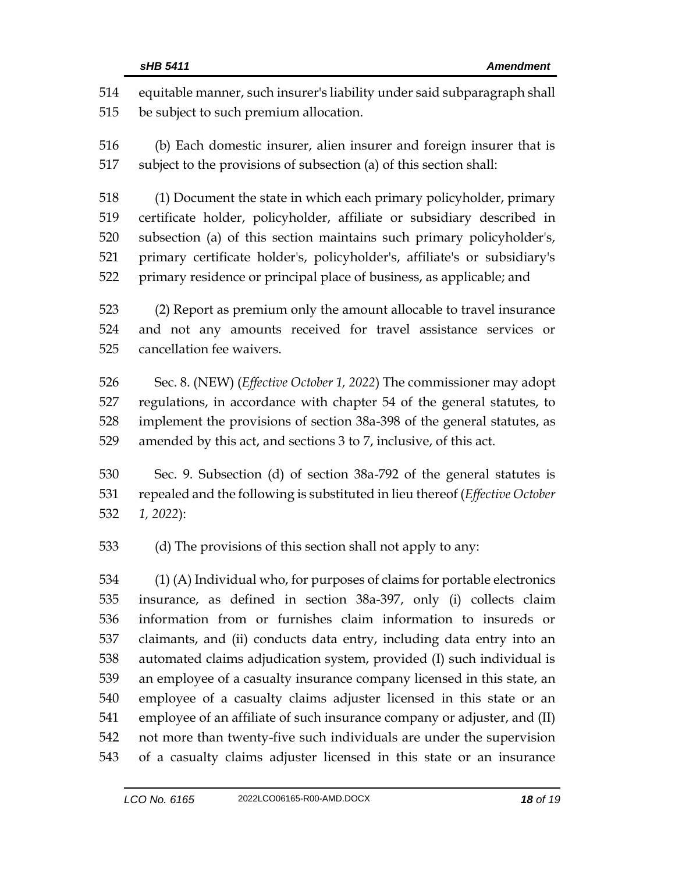| 514 | equitable manner, such insurer's liability under said subparagraph shall     |
|-----|------------------------------------------------------------------------------|
| 515 | be subject to such premium allocation.                                       |
| 516 | (b) Each domestic insurer, alien insurer and foreign insurer that is         |
| 517 | subject to the provisions of subsection (a) of this section shall:           |
| 518 | (1) Document the state in which each primary policyholder, primary           |
| 519 | certificate holder, policyholder, affiliate or subsidiary described in       |
| 520 | subsection (a) of this section maintains such primary policyholder's,        |
| 521 | primary certificate holder's, policyholder's, affiliate's or subsidiary's    |
| 522 | primary residence or principal place of business, as applicable; and         |
| 523 | (2) Report as premium only the amount allocable to travel insurance          |
| 524 | and not any amounts received for travel assistance services or               |
| 525 | cancellation fee waivers.                                                    |
| 526 | Sec. 8. (NEW) (Effective October 1, 2022) The commissioner may adopt         |
| 527 | regulations, in accordance with chapter 54 of the general statutes, to       |
| 528 | implement the provisions of section 38a-398 of the general statutes, as      |
| 529 | amended by this act, and sections 3 to 7, inclusive, of this act.            |
| 530 | Sec. 9. Subsection (d) of section 38a-792 of the general statutes is         |
| 531 | repealed and the following is substituted in lieu thereof (Effective October |
| 532 | $1, 2022$ :                                                                  |
| 533 | (d) The provisions of this section shall not apply to any:                   |
| 534 | (1) (A) Individual who, for purposes of claims for portable electronics      |
| 535 | insurance, as defined in section 38a-397, only (i) collects claim            |
| 536 | information from or furnishes claim information to insureds or               |
| 537 | claimants, and (ii) conducts data entry, including data entry into an        |
| 538 | automated claims adjudication system, provided (I) such individual is        |
| 539 | an employee of a casualty insurance company licensed in this state, an       |
| 540 | employee of a casualty claims adjuster licensed in this state or an          |
| 541 | employee of an affiliate of such insurance company or adjuster, and (II)     |
| 542 | not more than twenty-five such individuals are under the supervision         |
| 543 | of a casualty claims adjuster licensed in this state or an insurance         |